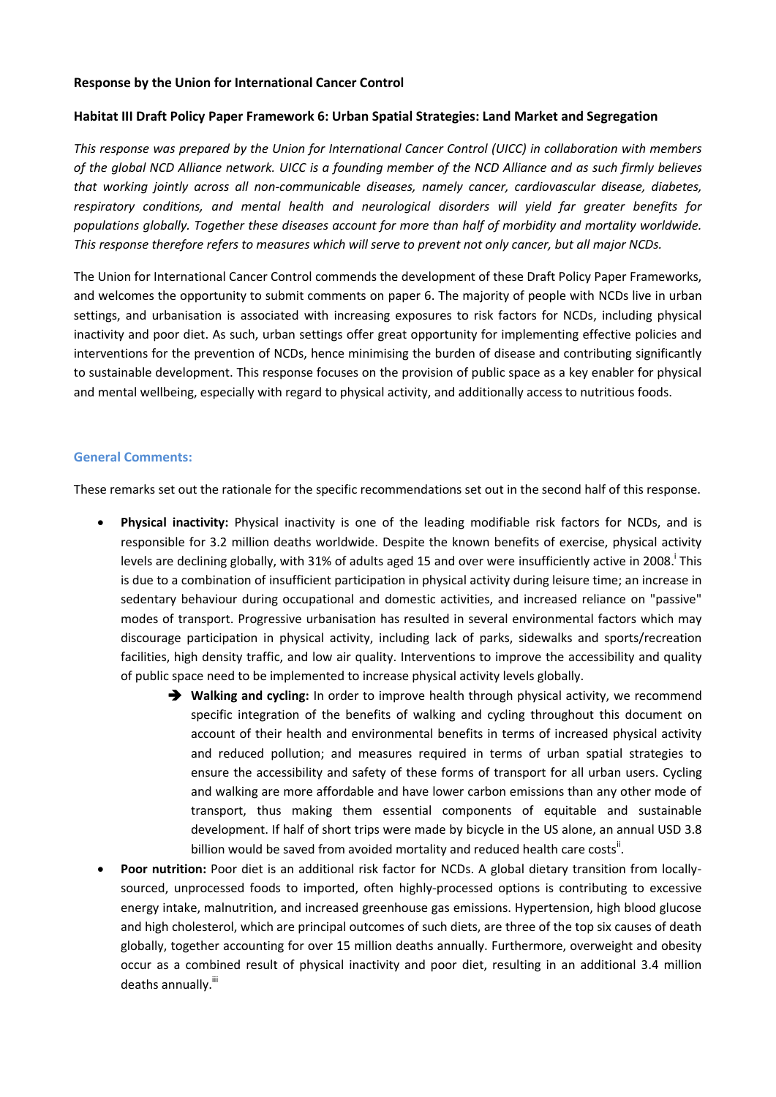### **Response by the Union for International Cancer Control**

### **Habitat III Draft Policy Paper Framework 6: Urban Spatial Strategies: Land Market and Segregation**

*This response was prepared by the Union for International Cancer Control (UICC) in collaboration with members of the global NCD Alliance network. UICC is a founding member of the NCD Alliance and as such firmly believes that working jointly across all non-communicable diseases, namely cancer, cardiovascular disease, diabetes, respiratory conditions, and mental health and neurological disorders will yield far greater benefits for populations globally. Together these diseases account for more than half of morbidity and mortality worldwide. This response therefore refers to measures which will serve to prevent not only cancer, but all major NCDs.*

The Union for International Cancer Control commends the development of these Draft Policy Paper Frameworks, and welcomes the opportunity to submit comments on paper 6. The majority of people with NCDs live in urban settings, and urbanisation is associated with increasing exposures to risk factors for NCDs, including physical inactivity and poor diet. As such, urban settings offer great opportunity for implementing effective policies and interventions for the prevention of NCDs, hence minimising the burden of disease and contributing significantly to sustainable development. This response focuses on the provision of public space as a key enabler for physical and mental wellbeing, especially with regard to physical activity, and additionally access to nutritious foods.

### **General Comments:**

These remarks set out the rationale for the specific recommendations set out in the second half of this response.

- **Physical inactivity:** Physical inactivity is one of the leading modifiable risk factors for NCDs, and is responsible for 3.2 million deaths worldwide. Despite the known benefits of exercise, physical activity levels are declining globally, with 31% of adults aged 15 and over were insufficiently active in 2008. This is due to a combination of insufficient participation in physical activity during leisure time; an increase in sedentary behaviour during occupational and domestic activities, and increased reliance on "passive" modes of transport. Progressive urbanisation has resulted in several environmental factors which may discourage participation in physical activity, including lack of parks, sidewalks and sports/recreation facilities, high density traffic, and low air quality. Interventions to improve the accessibility and quality of public space need to be implemented to increase physical activity levels globally.
	- **→** Walking and cycling: In order to improve health through physical activity, we recommend specific integration of the benefits of walking and cycling throughout this document on account of their health and environmental benefits in terms of increased physical activity and reduced pollution; and measures required in terms of urban spatial strategies to ensure the accessibility and safety of these forms of transport for all urban users. Cycling and walking are more affordable and have lower carbon emissions than any other mode of transport, thus making them essential components of equitable and sustainable development. If half of short trips were made by bicycle in the US alone, an annual USD 3.8 billion would be saved from avoided mortality and reduced health care costs".
- **Poor nutrition:** Poor diet is an additional risk factor for NCDs. A global dietary transition from locallysourced, unprocessed foods to imported, often highly-processed options is contributing to excessive energy intake, malnutrition, and increased greenhouse gas emissions. Hypertension, high blood glucose and high cholesterol, which are principal outcomes of such diets, are three of the top six causes of death globally, together accounting for over 15 million deaths annually. Furthermore, overweight and obesity occur as a combined result of physical inactivity and poor diet, resulting in an additional 3.4 million deaths annually.<sup>iii</sup>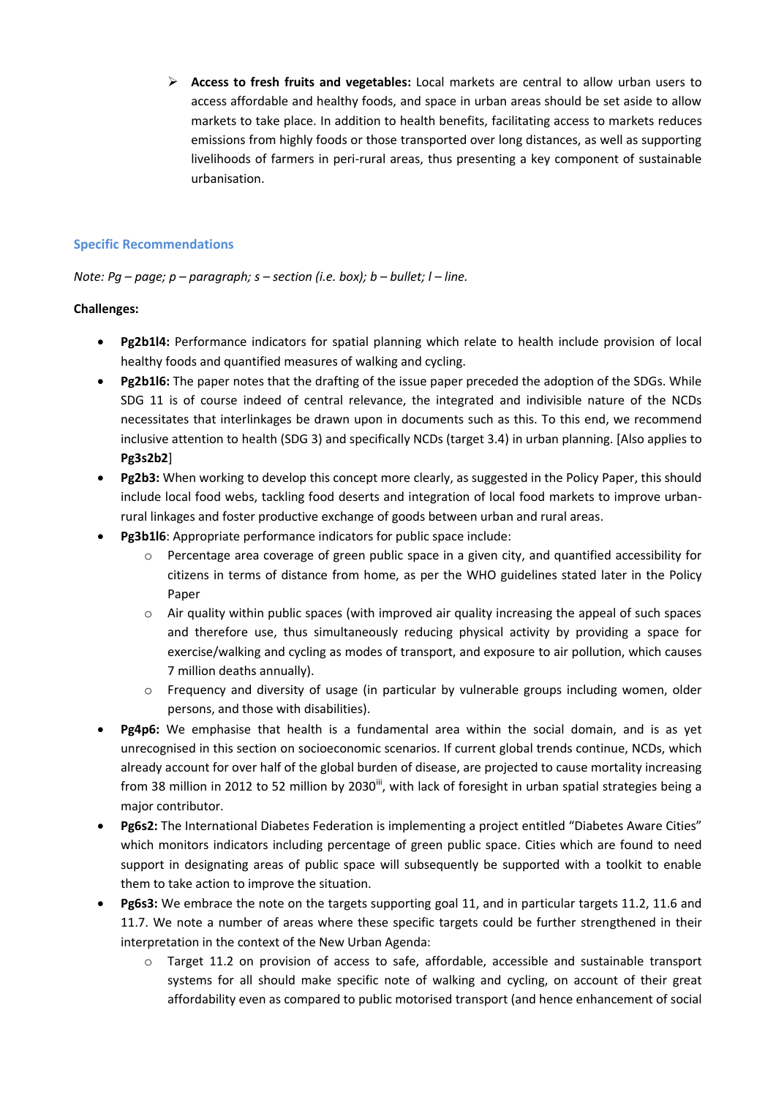**Access to fresh fruits and vegetables:** Local markets are central to allow urban users to access affordable and healthy foods, and space in urban areas should be set aside to allow markets to take place. In addition to health benefits, facilitating access to markets reduces emissions from highly foods or those transported over long distances, as well as supporting livelihoods of farmers in peri-rural areas, thus presenting a key component of sustainable urbanisation.

## **Specific Recommendations**

## *Note: Pg – page; p – paragraph; s – section (i.e. box); b – bullet; l – line.*

### **Challenges:**

- **Pg2b1l4:** Performance indicators for spatial planning which relate to health include provision of local healthy foods and quantified measures of walking and cycling.
- **Pg2b1l6:** The paper notes that the drafting of the issue paper preceded the adoption of the SDGs. While SDG 11 is of course indeed of central relevance, the integrated and indivisible nature of the NCDs necessitates that interlinkages be drawn upon in documents such as this. To this end, we recommend inclusive attention to health (SDG 3) and specifically NCDs (target 3.4) in urban planning. [Also applies to **Pg3s2b2**]
- **Pg2b3:** When working to develop this concept more clearly, as suggested in the Policy Paper, this should include local food webs, tackling food deserts and integration of local food markets to improve urbanrural linkages and foster productive exchange of goods between urban and rural areas.
- **Pg3b1l6**: Appropriate performance indicators for public space include:
	- $\circ$  Percentage area coverage of green public space in a given city, and quantified accessibility for citizens in terms of distance from home, as per the WHO guidelines stated later in the Policy Paper
	- $\circ$  Air quality within public spaces (with improved air quality increasing the appeal of such spaces and therefore use, thus simultaneously reducing physical activity by providing a space for exercise/walking and cycling as modes of transport, and exposure to air pollution, which causes 7 million deaths annually).
	- o Frequency and diversity of usage (in particular by vulnerable groups including women, older persons, and those with disabilities).
- **Pg4p6:** We emphasise that health is a fundamental area within the social domain, and is as yet unrecognised in this section on socioeconomic scenarios. If current global trends continue, NCDs, which already account for over half of the global burden of disease, are projected to cause mortality increasing from 38 million in 2012 to 52 million by 2030<sup>iii</sup>, with lack of foresight in urban spatial strategies being a major contributor.
- **Pg6s2:** The International Diabetes Federation is implementing a project entitled "Diabetes Aware Cities" which monitors indicators including percentage of green public space. Cities which are found to need support in designating areas of public space will subsequently be supported with a toolkit to enable them to take action to improve the situation.
- **Pg6s3:** We embrace the note on the targets supporting goal 11, and in particular targets 11.2, 11.6 and 11.7. We note a number of areas where these specific targets could be further strengthened in their interpretation in the context of the New Urban Agenda:
	- $\circ$  Target 11.2 on provision of access to safe, affordable, accessible and sustainable transport systems for all should make specific note of walking and cycling, on account of their great affordability even as compared to public motorised transport (and hence enhancement of social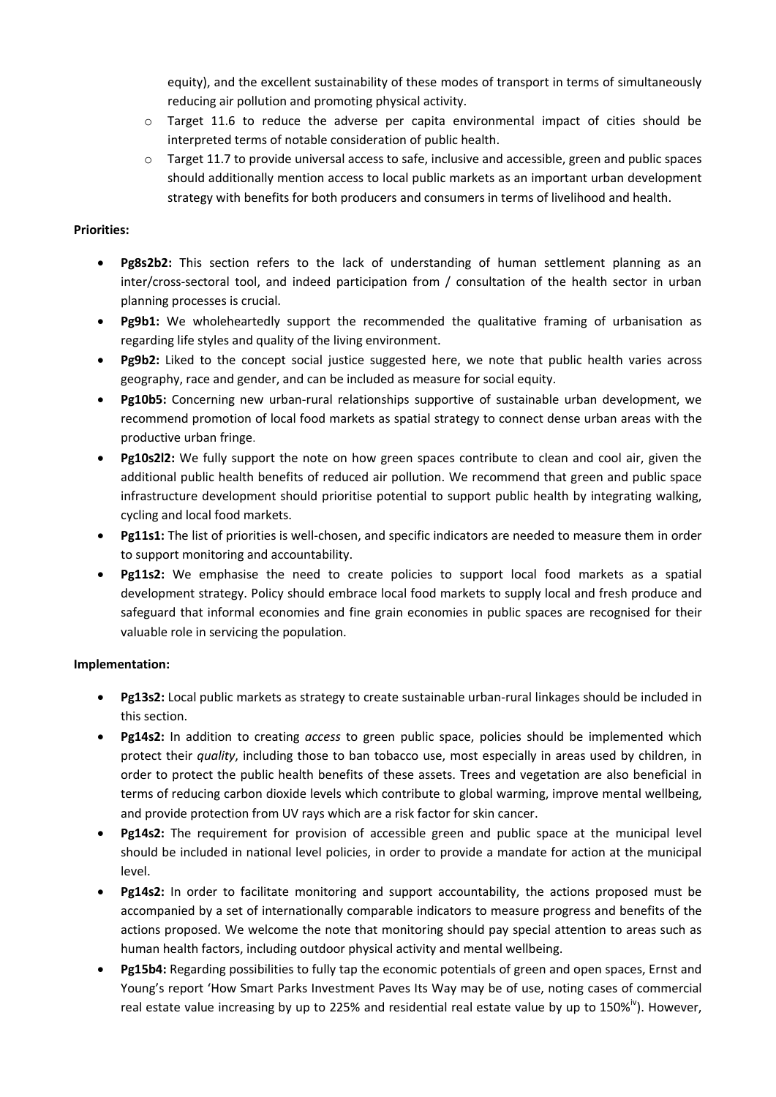equity), and the excellent sustainability of these modes of transport in terms of simultaneously reducing air pollution and promoting physical activity.

- o Target 11.6 to reduce the adverse per capita environmental impact of cities should be interpreted terms of notable consideration of public health.
- $\circ$  Target 11.7 to provide universal access to safe, inclusive and accessible, green and public spaces should additionally mention access to local public markets as an important urban development strategy with benefits for both producers and consumers in terms of livelihood and health.

## **Priorities:**

- **Pg8s2b2:** This section refers to the lack of understanding of human settlement planning as an inter/cross-sectoral tool, and indeed participation from / consultation of the health sector in urban planning processes is crucial.
- **Pg9b1:** We wholeheartedly support the recommended the qualitative framing of urbanisation as regarding life styles and quality of the living environment.
- **Pg9b2:** Liked to the concept social justice suggested here, we note that public health varies across geography, race and gender, and can be included as measure for social equity.
- **Pg10b5:** Concerning new urban-rural relationships supportive of sustainable urban development, we recommend promotion of local food markets as spatial strategy to connect dense urban areas with the productive urban fringe.
- **•** Pg10s2l2: We fully support the note on how green spaces contribute to clean and cool air, given the additional public health benefits of reduced air pollution. We recommend that green and public space infrastructure development should prioritise potential to support public health by integrating walking, cycling and local food markets.
- **Pg11s1:** The list of priorities is well-chosen, and specific indicators are needed to measure them in order to support monitoring and accountability.
- **Pg11s2:** We emphasise the need to create policies to support local food markets as a spatial development strategy. Policy should embrace local food markets to supply local and fresh produce and safeguard that informal economies and fine grain economies in public spaces are recognised for their valuable role in servicing the population.

## **Implementation:**

- **Pg13s2:** Local public markets as strategy to create sustainable urban-rural linkages should be included in this section.
- **Pg14s2:** In addition to creating *access* to green public space, policies should be implemented which protect their *quality*, including those to ban tobacco use, most especially in areas used by children, in order to protect the public health benefits of these assets. Trees and vegetation are also beneficial in terms of reducing carbon dioxide levels which contribute to global warming, improve mental wellbeing, and provide protection from UV rays which are a risk factor for skin cancer.
- **Pg14s2:** The requirement for provision of accessible green and public space at the municipal level should be included in national level policies, in order to provide a mandate for action at the municipal level.
- **Pg14s2:** In order to facilitate monitoring and support accountability, the actions proposed must be accompanied by a set of internationally comparable indicators to measure progress and benefits of the actions proposed. We welcome the note that monitoring should pay special attention to areas such as human health factors, including outdoor physical activity and mental wellbeing.
- **Pg15b4:** Regarding possibilities to fully tap the economic potentials of green and open spaces, Ernst and Young's report 'How Smart Parks Investment Paves Its Way may be of use, noting cases of commercial real estate value increasing by up to 225% and residential real estate value by up to 150%<sup>iv</sup>). However,